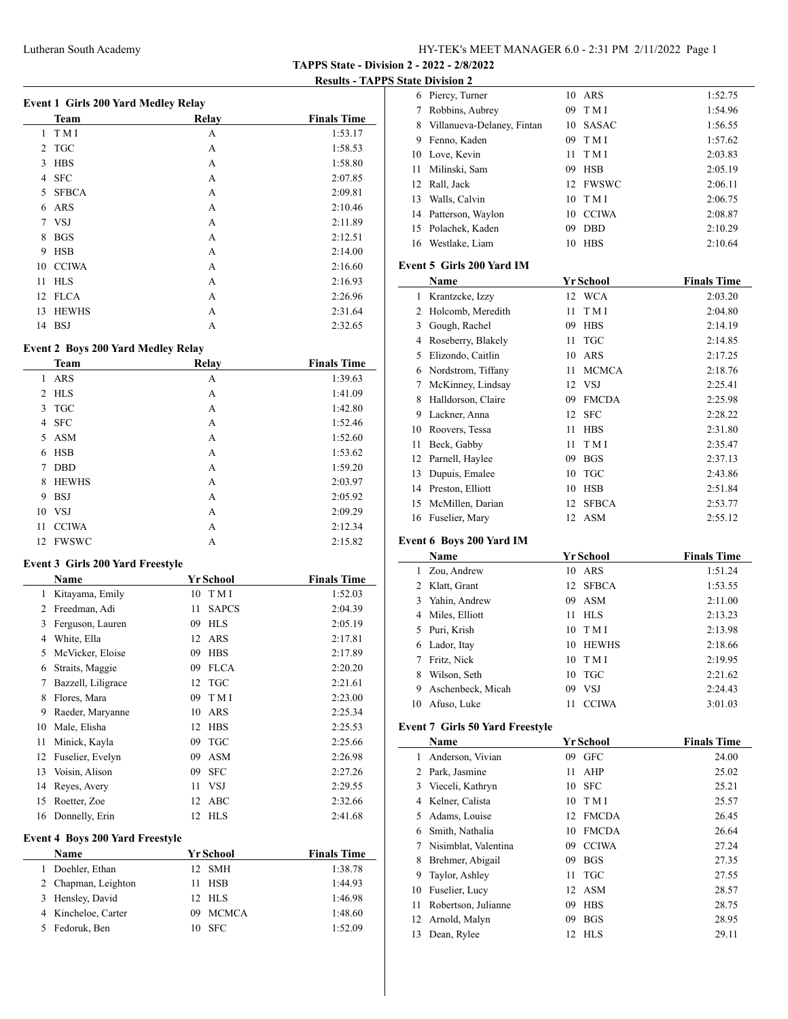**TAPPS State - Division 2 - 2022 - 2/8/2022**

**Results - TAPPS State Division 2**

| Event 1 Girls 200 Yard Medley Relay |              |       |                    |  |
|-------------------------------------|--------------|-------|--------------------|--|
|                                     | <b>Team</b>  | Relay | <b>Finals Time</b> |  |
| 1                                   | T M I        | А     | 1:53.17            |  |
| 2                                   | <b>TGC</b>   | А     | 1:58.53            |  |
| 3                                   | <b>HBS</b>   | А     | 1:58.80            |  |
| 4                                   | <b>SFC</b>   | А     | 2:07.85            |  |
| 5                                   | <b>SFBCA</b> | A     | 2:09.81            |  |
| 6                                   | ARS          | А     | 2:10.46            |  |
| 7                                   | <b>VSJ</b>   | А     | 2:11.89            |  |
| 8                                   | <b>BGS</b>   | А     | 2:12.51            |  |
| 9                                   | <b>HSB</b>   | А     | 2:14.00            |  |
| 10                                  | <b>CCIWA</b> | А     | 2:16.60            |  |
| 11                                  | <b>HLS</b>   | A     | 2:16.93            |  |
|                                     | 12 FLCA      | А     | 2:26.96            |  |
| 13                                  | <b>HEWHS</b> | А     | 2:31.64            |  |
| 14                                  | <b>BSJ</b>   | А     | 2:32.65            |  |

# **Event 2 Boys 200 Yard Medley Relay**

|    | <b>Team</b>  | <b>Relay</b> | <b>Finals Time</b> |
|----|--------------|--------------|--------------------|
| 1  | <b>ARS</b>   | А            | 1:39.63            |
| 2  | <b>HLS</b>   | А            | 1:41.09            |
| 3  | <b>TGC</b>   | А            | 1:42.80            |
| 4  | <b>SFC</b>   | А            | 1:52.46            |
| 5  | <b>ASM</b>   | A            | 1:52.60            |
| 6  | <b>HSB</b>   | А            | 1:53.62            |
| 7  | <b>DBD</b>   | А            | 1:59.20            |
| 8  | <b>HEWHS</b> | А            | 2:03.97            |
| 9  | <b>BSJ</b>   | А            | 2:05.92            |
|    | 10 VSJ       | A            | 2:09.29            |
| 11 | <b>CCIWA</b> | А            | 2:12.34            |
| 12 | FWSWC        | А            | 2:15.82            |

#### **Event 3 Girls 200 Yard Freestyle**

|    | Name               |    | <b>Yr School</b> | <b>Finals Time</b> |
|----|--------------------|----|------------------|--------------------|
| 1  | Kitayama, Emily    | 10 | T M I            | 1:52.03            |
| 2  | Freedman, Adi      | 11 | <b>SAPCS</b>     | 2:04.39            |
| 3  | Ferguson, Lauren   | 09 | <b>HLS</b>       | 2:05.19            |
| 4  | White, Ella        | 12 | ARS              | 2:17.81            |
| 5  | McVicker, Eloise   | 09 | <b>HBS</b>       | 2:17.89            |
| 6  | Straits, Maggie    | 09 | <b>FLCA</b>      | 2:20.20            |
| 7  | Bazzell, Liligrace |    | 12 TGC           | 2:21.61            |
| 8  | Flores, Mara       | 09 | T M I            | 2:23.00            |
| 9  | Raeder, Maryanne   | 10 | ARS              | 2:25.34            |
| 10 | Male, Elisha       | 12 | <b>HBS</b>       | 2:25.53            |
| 11 | Minick, Kayla      | 09 | <b>TGC</b>       | 2:25.66            |
| 12 | Fuselier, Evelyn   | 09 | <b>ASM</b>       | 2:26.98            |
| 13 | Voisin, Alison     | 09 | <b>SFC</b>       | 2:27.26            |
| 14 | Reyes, Avery       | 11 | <b>VSJ</b>       | 2:29.55            |
| 15 | Roetter, Zoe       | 12 | ABC              | 2:32.66            |
| 16 | Donnelly, Erin     |    | 12 HLS           | 2:41.68            |

# **Event 4 Boys 200 Yard Freestyle**

| Name                |    | Yr School    | <b>Finals Time</b> |
|---------------------|----|--------------|--------------------|
| Doehler, Ethan      |    | 12 SMH       | 1:38.78            |
| 2 Chapman, Leighton |    | 11 HSB       | 1:44.93            |
| 3 Hensley, David    |    | $12$ HLS     | 1:46.98            |
| 4 Kincheloe, Carter | 09 | <b>MCMCA</b> | 1:48.60            |
| 5 Fedoruk, Ben      |    | $10$ SFC     | 1:52.09            |

|    | 6 Piercy, Turner           |     | 10 ARS       | 1:52.75 |
|----|----------------------------|-----|--------------|---------|
| 7  | Robbins, Aubrey            | 09. | T M I        | 1:54.96 |
| 8  | Villanueva-Delaney, Fintan |     | 10 SASAC     | 1:56.55 |
| 9  | Fenno, Kaden               | 09. | T M I        | 1:57.62 |
| 10 | Love, Kevin                | 11. | T M I        | 2:03.83 |
| 11 | Milinski, Sam              | 09. | <b>HSB</b>   | 2:05.19 |
| 12 | Rall, Jack                 |     | 12 FWSWC     | 2:06.11 |
| 13 | Walls, Calvin              |     | $10$ TMI     | 2:06.75 |
| 14 | Patterson, Waylon          | 10  | <b>CCIWA</b> | 2:08.87 |
| 15 | Polachek, Kaden            | 09  | <b>DBD</b>   | 2:10.29 |
| 16 | Westlake, Liam             | 10  | <b>HBS</b>   | 2:10.64 |

#### **Event 5 Girls 200 Yard IM**

|    | Name               |    | Yr School    | <b>Finals Time</b> |
|----|--------------------|----|--------------|--------------------|
| 1  | Krantzcke, Izzy    |    | 12 WCA       | 2:03.20            |
| 2  | Holcomb, Meredith  | 11 | T M I        | 2:04.80            |
| 3  | Gough, Rachel      | 09 | <b>HBS</b>   | 2:14.19            |
| 4  | Roseberry, Blakely | 11 | <b>TGC</b>   | 2:14.85            |
| 5  | Elizondo, Caitlin  | 10 | ARS          | 2:17.25            |
| 6  | Nordstrom, Tiffany | 11 | <b>MCMCA</b> | 2:18.76            |
| 7  | McKinney, Lindsay  |    | 12 VSJ       | 2:25.41            |
| 8  | Halldorson, Claire | 09 | <b>FMCDA</b> | 2:25.98            |
| 9  | Lackner, Anna      | 12 | <b>SFC</b>   | 2:28.22            |
| 10 | Roovers, Tessa     | 11 | <b>HBS</b>   | 2:31.80            |
| 11 | Beck, Gabby        | 11 | T M I        | 2:35.47            |
| 12 | Parnell, Haylee    | 09 | <b>BGS</b>   | 2:37.13            |
| 13 | Dupuis, Emalee     | 10 | <b>TGC</b>   | 2:43.86            |
| 14 | Preston, Elliott   | 10 | <b>HSB</b>   | 2:51.84            |
| 15 | McMillen, Darian   | 12 | <b>SFBCA</b> | 2:53.77            |
| 16 | Fuselier, Mary     | 12 | ASM          | 2:55.12            |

### **Event 6 Boys 200 Yard IM**

|    | Name              |    | Yr School    | <b>Finals Time</b> |
|----|-------------------|----|--------------|--------------------|
|    | Zou, Andrew       | 10 | ARS          | 1:51.24            |
|    | 2 Klatt, Grant    |    | 12 SFBCA     | 1:53.55            |
| 3  | Yahin, Andrew     | 09 | ASM          | 2:11.00            |
|    | 4 Miles, Elliott  | 11 | HL S         | 2:13.23            |
|    | 5 Puri, Krish     | 10 | T M I        | 2:13.98            |
| 6  | Lador, Itay       | 10 | <b>HEWHS</b> | 2:18.66            |
| 7  | Fritz, Nick       | 10 | T M I        | 2:19.95            |
| 8  | Wilson, Seth      | 10 | TGC          | 2:21.62            |
| 9  | Aschenbeck, Micah | 09 | VSJ          | 2:24.43            |
| 10 | Afuso, Luke       | 11 | <b>CCIWA</b> | 3:01.03            |

# **Event 7 Girls 50 Yard Freestyle**

|    | Name                 |    | <b>Yr School</b> | <b>Finals Time</b> |
|----|----------------------|----|------------------|--------------------|
| 1. | Anderson, Vivian     | 09 | <b>GFC</b>       | 24.00              |
| 2  | Park, Jasmine        | 11 | <b>AHP</b>       | 25.02              |
| 3  | Vieceli, Kathryn     | 10 | <b>SFC</b>       | 25.21              |
| 4  | Kelner, Calista      |    | $10$ TMI         | 25.57              |
| 5. | Adams, Louise        | 12 | <b>FMCDA</b>     | 26.45              |
| 6  | Smith, Nathalia      | 10 | <b>FMCDA</b>     | 26.64              |
|    | Nisimblat, Valentina | 09 | <b>CCIWA</b>     | 27.24              |
| 8  | Brehmer, Abigail     | 09 | <b>BGS</b>       | 27.35              |
| 9  | Taylor, Ashley       | 11 | <b>TGC</b>       | 27.55              |
| 10 | Fuselier, Lucy       | 12 | <b>ASM</b>       | 28.57              |
| 11 | Robertson, Julianne  | 09 | <b>HBS</b>       | 28.75              |
| 12 | Arnold, Malyn        | 09 | <b>BGS</b>       | 28.95              |
| 13 | Dean, Rylee          | 12 | <b>HLS</b>       | 29.11              |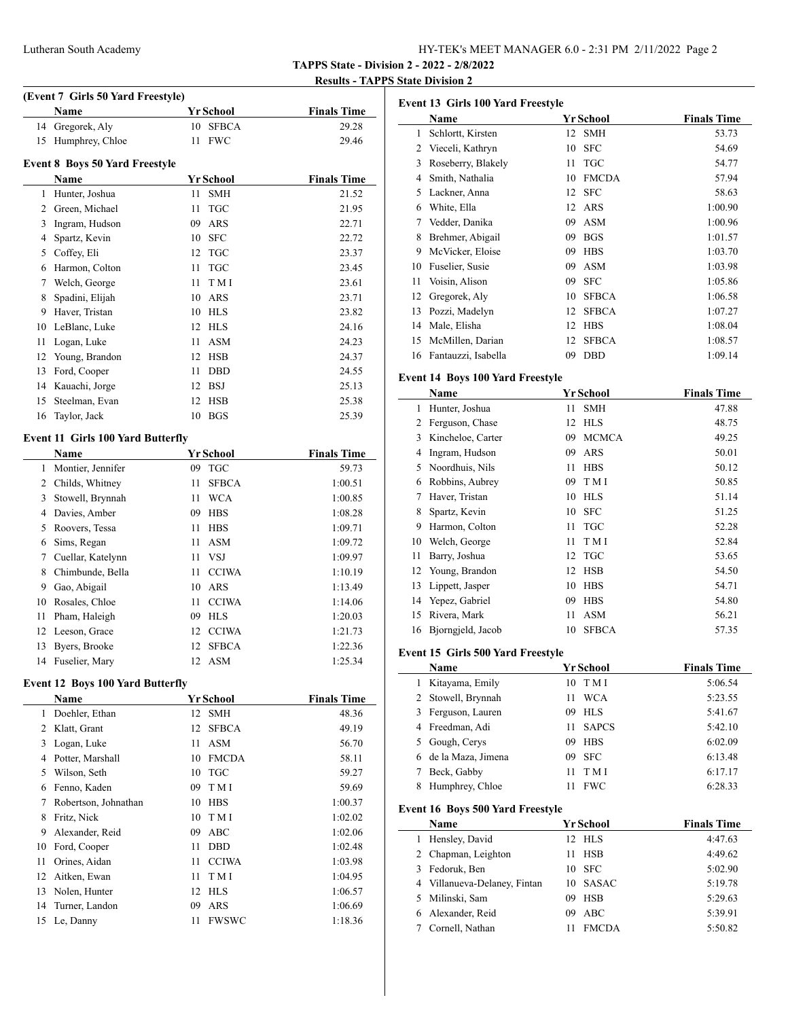| Lutheran South Academy | HY-TEK's MEET MANAGER 6.0 - 2:31 PM 2/11/2022 Page 2 |
|------------------------|------------------------------------------------------|
|                        |                                                      |

**TAPPS State - Division 2 - 2022 - 2/8/2022**

#### **Results - TAPPS State Division 2**

 $\overline{a}$ 

|                |                                          |                 |                  | <b>TAPPS State - D</b><br><b>Results - TA</b> |
|----------------|------------------------------------------|-----------------|------------------|-----------------------------------------------|
|                | (Event 7 Girls 50 Yard Freestyle)        |                 |                  |                                               |
|                | Name                                     |                 | <b>Yr School</b> | <b>Finals Time</b>                            |
| 14             | Gregorek, Aly                            | 10 <sup>1</sup> | <b>SFBCA</b>     | 29.28                                         |
| 15             | Humphrey, Chloe                          | 11              | <b>FWC</b>       | 29.46                                         |
|                | Event 8 Boys 50 Yard Freestyle           |                 |                  |                                               |
|                | Name                                     |                 | <b>Yr School</b> | <b>Finals Time</b>                            |
|                | 1 Hunter, Joshua                         | 11              | <b>SMH</b>       | 21.52                                         |
|                | 2 Green, Michael                         | 11              | <b>TGC</b>       | 21.95                                         |
|                | 3 Ingram, Hudson                         | 09.             | <b>ARS</b>       | 22.71                                         |
|                | 4 Spartz, Kevin                          | 10              | <b>SFC</b>       | 22.72                                         |
|                | 5 Coffey, Eli                            | 12              | <b>TGC</b>       | 23.37                                         |
|                | 6 Harmon, Colton                         | 11              | TGC              | 23.45                                         |
| $7^{\circ}$    | Welch, George                            | 11              | TMI              | 23.61                                         |
| 8              | Spadini, Elijah                          | 10              | ARS              | 23.71                                         |
| 9              | Haver, Tristan                           |                 | 10 HLS           | 23.82                                         |
|                | 10 LeBlanc, Luke                         |                 | 12 HLS           | 24.16                                         |
| 11             | Logan, Luke                              | 11              | <b>ASM</b>       | 24.23                                         |
| 12             | Young, Brandon                           | 12              | <b>HSB</b>       | 24.37                                         |
| 13             | Ford, Cooper                             | 11              | <b>DBD</b>       | 24.55                                         |
| 14             | Kauachi, Jorge                           |                 | 12 BSJ           | 25.13                                         |
| 15             | Steelman, Evan                           | 12              | <b>HSB</b>       | 25.38                                         |
| 16             | Taylor, Jack                             |                 | 10 BGS           | 25.39                                         |
|                | <b>Event 11 Girls 100 Yard Butterfly</b> |                 |                  |                                               |
|                | Name                                     |                 | <b>Yr School</b> | <b>Finals Time</b>                            |
| $\mathbf{1}$   | Montier, Jennifer                        | 09              | <b>TGC</b>       | 59.73                                         |
| $\overline{2}$ | Childs, Whitney                          | 11              | <b>SFBCA</b>     | 1:00.51                                       |
| 3              | Stowell, Brynnah                         | 11              | <b>WCA</b>       | 1:00.85                                       |
|                | 4 Davies, Amber                          | 09              | <b>HBS</b>       | 1:08.28                                       |
|                | 5 Roovers, Tessa                         | 11              | <b>HBS</b>       | 1:09.71                                       |
| 6              | Sims, Regan                              | 11              | <b>ASM</b>       | 1:09.72                                       |
| 7              | Cuellar, Katelynn                        | 11              | <b>VSJ</b>       | 1:09.97                                       |
| 8              | Chimbunde, Bella                         | 11              | <b>CCIWA</b>     | 1:10.19                                       |

| 9 Gao, Abigail    | 10 ARS   | 1:13.49 |
|-------------------|----------|---------|
| 10 Rosales, Chloe | 11 CCIWA | 1:14.06 |
| 11 Pham, Haleigh  | 09 HLS   | 1:20.03 |
| 12 Leeson, Grace  | 12 CCIWA | 1:21.73 |
| 13 Byers, Brooke  | 12 SFBCA | 1:22.36 |
| 14 Fuselier, Mary | 12 ASM   | 1:25.34 |
|                   |          |         |

#### **Event 12 Boys 100 Yard Butterfly**

|    | Name                 |    | <b>Yr School</b> | <b>Finals Time</b> |
|----|----------------------|----|------------------|--------------------|
| 1  | Doehler, Ethan       | 12 | <b>SMH</b>       | 48.36              |
| 2  | Klatt, Grant         | 12 | <b>SFBCA</b>     | 49.19              |
| 3  | Logan, Luke          | 11 | ASM              | 56.70              |
| 4  | Potter, Marshall     | 10 | <b>FMCDA</b>     | 58.11              |
| 5  | Wilson, Seth         | 10 | <b>TGC</b>       | 59.27              |
| 6  | Fenno, Kaden         | 09 | T M I            | 59.69              |
| 7  | Robertson, Johnathan | 10 | <b>HBS</b>       | 1:00.37            |
| 8  | Fritz, Nick          | 10 | T M I            | 1:02.02            |
| 9  | Alexander, Reid      | 09 | ABC              | 1:02.06            |
| 10 | Ford, Cooper         | 11 | <b>DBD</b>       | 1:02.48            |
| 11 | Orines, Aidan        | 11 | <b>CCIWA</b>     | 1:03.98            |
| 12 | Aitken, Ewan         | 11 | T M I            | 1:04.95            |
| 13 | Nolen, Hunter        | 12 | <b>HLS</b>       | 1:06.57            |
| 14 | Turner, Landon       | 09 | ARS              | 1:06.69            |
| 15 | Le, Danny            | 11 | <b>FWSWC</b>     | 1:18.36            |

| Event 13 Girls 100 Yard Freestyle |    |              |                      |  |  |
|-----------------------------------|----|--------------|----------------------|--|--|
| Name                              |    |              | <b>Finals Time</b>   |  |  |
| Schlortt, Kirsten                 | 12 | <b>SMH</b>   | 53.73                |  |  |
| Vieceli, Kathryn                  | 10 | <b>SFC</b>   | 54.69                |  |  |
| Roseberry, Blakely                | 11 | <b>TGC</b>   | 54.77                |  |  |
| Smith, Nathalia                   | 10 | <b>FMCDA</b> | 57.94                |  |  |
| Lackner, Anna                     | 12 | <b>SFC</b>   | 58.63                |  |  |
| White, Ella                       |    | ARS          | 1:00.90              |  |  |
| Vedder, Danika                    | 09 | ASM          | 1:00.96              |  |  |
| Brehmer, Abigail                  | 09 | <b>BGS</b>   | 1:01.57              |  |  |
| McVicker, Eloise                  | 09 | <b>HBS</b>   | 1:03.70              |  |  |
| Fuselier, Susie                   | 09 | ASM          | 1:03.98              |  |  |
| Voisin, Alison                    | 09 | <b>SFC</b>   | 1:05.86              |  |  |
| Gregorek, Aly                     | 10 | <b>SFBCA</b> | 1:06.58              |  |  |
| Pozzi, Madelyn                    | 12 | <b>SFBCA</b> | 1:07.27              |  |  |
| Male, Elisha                      | 12 | <b>HBS</b>   | 1:08.04              |  |  |
| McMillen, Darian                  | 12 | <b>SFBCA</b> | 1:08.57              |  |  |
| Fantauzzi, Isabella               | 09 | <b>DBD</b>   | 1:09.14              |  |  |
|                                   |    |              | Yr School<br>$12-12$ |  |  |

### **Event 14 Boys 100 Yard Freestyle**

|    | Name              |    | Yr School    | <b>Finals Time</b> |
|----|-------------------|----|--------------|--------------------|
| 1  | Hunter, Joshua    | 11 | <b>SMH</b>   | 47.88              |
| 2  | Ferguson, Chase   | 12 | <b>HLS</b>   | 48.75              |
| 3  | Kincheloe, Carter | 09 | <b>MCMCA</b> | 49.25              |
| 4  | Ingram, Hudson    | 09 | ARS          | 50.01              |
| 5  | Noordhuis, Nils   | 11 | <b>HBS</b>   | 50.12              |
| 6  | Robbins, Aubrey   | 09 | T M I        | 50.85              |
| 7  | Haver, Tristan    | 10 | <b>HLS</b>   | 51.14              |
| 8  | Spartz, Kevin     | 10 | <b>SFC</b>   | 51.25              |
| 9  | Harmon, Colton    | 11 | <b>TGC</b>   | 52.28              |
| 10 | Welch, George     | 11 | T M I        | 52.84              |
| 11 | Barry, Joshua     | 12 | <b>TGC</b>   | 53.65              |
| 12 | Young, Brandon    | 12 | <b>HSB</b>   | 54.50              |
| 13 | Lippett, Jasper   | 10 | <b>HBS</b>   | 54.71              |
| 14 | Yepez, Gabriel    | 09 | <b>HBS</b>   | 54.80              |
| 15 | Rivera, Mark      | 11 | ASM          | 56.21              |
| 16 | Biorngjeld, Jacob | 10 | <b>SFBCA</b> | 57.35              |

### **Event 15 Girls 500 Yard Freestyl**

|   | Event 15 Girls 500 yard Freestyle       |                    |                    |
|---|-----------------------------------------|--------------------|--------------------|
|   | Name                                    | Yr School          | <b>Finals Time</b> |
| 1 | Kitayama, Emily                         | T M I<br>10        | 5:06.54            |
| 2 | Stowell, Brynnah                        | <b>WCA</b><br>11   | 5:23.55            |
| 3 | Ferguson, Lauren                        | <b>HLS</b><br>09   | 5:41.67            |
| 4 | Freedman, Adi                           | <b>SAPCS</b><br>11 | 5:42.10            |
| 5 | Gough, Cerys                            | <b>HBS</b><br>09   | 6:02.09            |
| 6 | de la Maza, Jimena                      | <b>SFC</b><br>09   | 6:13.48            |
| 7 | Beck, Gabby                             | T M I<br>11        | 6:17.17            |
| 8 | Humphrey, Chloe                         | <b>FWC</b><br>11   | 6:28.33            |
|   | <b>Event 16 Boys 500 Yard Freestyle</b> |                    |                    |
|   | Name                                    | <b>Yr School</b>   | <b>Finals Time</b> |
| 1 | Hensley, David                          | <b>HLS</b><br>12   | 4:47.63            |
| 2 | Chapman, Leighton                       | <b>HSB</b><br>11   | 4:49.62            |
| 3 | Fedoruk, Ben                            | <b>SFC</b><br>10   | 5:02.90            |
| 4 | Villanueva-Delaney, Fintan              | <b>SASAC</b><br>10 | 5:19.78            |
| 5 | Milinski, Sam                           | HSB<br>09          | 5:29.63            |
| 6 | Alexander, Reid                         | ABC<br>09          | 5:39.91            |

Cornell, Nathan 11 FMCDA 5:50.82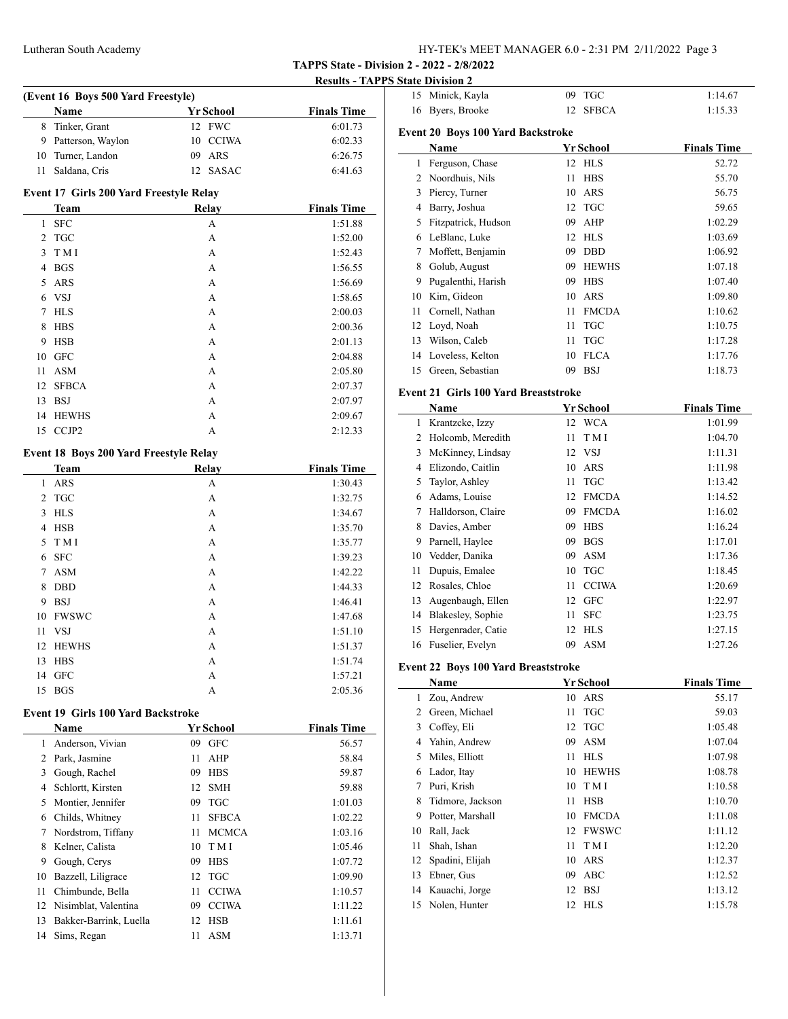**TAPPS State - Division 2 - 2022 - 2/8/2022**

**Results - TAPPS State Division 2**

| (Event 16 Boys 500 Yard Freestyle) |                     |           |                    |  |  |
|------------------------------------|---------------------|-----------|--------------------|--|--|
|                                    | <b>Name</b>         | Yr School | <b>Finals Time</b> |  |  |
|                                    | 8 Tinker, Grant     | 12 FWC    | 6:01.73            |  |  |
|                                    | 9 Patterson, Waylon | 10 CCIWA  | 6:02.33            |  |  |
|                                    | 10 Turner, Landon   | 09 ARS    | 6:26.75            |  |  |
| 11.                                | Saldana, Cris       | 12 SASAC  | 6:41.63            |  |  |

### **Event 17 Girls 200 Yard Freestyle Relay**

|    | <b>Team</b>  | <b>Relay</b> | <b>Finals Time</b> |
|----|--------------|--------------|--------------------|
| 1  | <b>SFC</b>   | А            | 1:51.88            |
| 2  | <b>TGC</b>   | A            | 1:52.00            |
| 3  | T M I        | A            | 1:52.43            |
| 4  | <b>BGS</b>   | A            | 1:56.55            |
| 5  | ARS          | A            | 1:56.69            |
| 6  | <b>VSJ</b>   | A            | 1:58.65            |
| 7  | <b>HLS</b>   | A            | 2:00.03            |
| 8  | <b>HBS</b>   | A            | 2:00.36            |
| 9  | <b>HSB</b>   | A            | 2:01.13            |
| 10 | <b>GFC</b>   | A            | 2:04.88            |
| 11 | <b>ASM</b>   | A            | 2:05.80            |
| 12 | <b>SFBCA</b> | A            | 2:07.37            |
| 13 | <b>BSJ</b>   | A            | 2:07.97            |
| 14 | <b>HEWHS</b> | A            | 2:09.67            |
|    | 15 CCJP2     | А            | 2:12.33            |

### **Event 18 Boys 200 Yard Freestyle Relay**

|                       | <b>Team</b>  | <b>Relay</b> | <b>Finals Time</b> |
|-----------------------|--------------|--------------|--------------------|
| 1                     | <b>ARS</b>   | А            | 1:30.43            |
| $\mathbf{2}^{\prime}$ | <b>TGC</b>   | A            | 1:32.75            |
| 3                     | <b>HLS</b>   | A            | 1:34.67            |
| 4                     | <b>HSB</b>   | A            | 1:35.70            |
| 5                     | T M I        | A            | 1:35.77            |
| 6                     | <b>SFC</b>   | A            | 1:39.23            |
| 7                     | <b>ASM</b>   | A            | 1:42.22            |
| 8                     | <b>DBD</b>   | A            | 1:44.33            |
| 9                     | <b>BSJ</b>   | A            | 1:46.41            |
| 10                    | <b>FWSWC</b> | A            | 1:47.68            |
| 11                    | VSJ          | A            | 1:51.10            |
| 12                    | <b>HEWHS</b> | A            | 1:51.37            |
| 13                    | <b>HBS</b>   | A            | 1:51.74            |
| 14                    | <b>GFC</b>   | A            | 1:57.21            |
| 15                    | <b>BGS</b>   | A            | 2:05.36            |

#### **Event 19 Girls 100 Yard Backstroke**

|    | Name                   |    | Yr School    | <b>Finals Time</b> |
|----|------------------------|----|--------------|--------------------|
| 1  | Anderson, Vivian       | 09 | <b>GFC</b>   | 56.57              |
| 2  | Park, Jasmine          | 11 | AHP          | 58.84              |
| 3  | Gough, Rachel          | 09 | <b>HBS</b>   | 59.87              |
| 4  | Schlortt, Kirsten      | 12 | <b>SMH</b>   | 59.88              |
| 5  | Montier, Jennifer      | 09 | <b>TGC</b>   | 1:01.03            |
| 6  | Childs, Whitney        | 11 | <b>SFBCA</b> | 1:02.22            |
| 7  | Nordstrom, Tiffany     | 11 | <b>MCMCA</b> | 1:03.16            |
| 8  | Kelner, Calista        | 10 | T M I        | 1:05.46            |
| 9  | Gough, Cerys           | 09 | <b>HBS</b>   | 1:07.72            |
| 10 | Bazzell, Liligrace     | 12 | TGC          | 1:09.90            |
| 11 | Chimbunde, Bella       | 11 | <b>CCIWA</b> | 1:10.57            |
| 12 | Nisimblat, Valentina   | 09 | <b>CCIWA</b> | 1:11.22            |
| 13 | Bakker-Barrink, Luella | 12 | <b>HSB</b>   | 1:11.61            |
| 14 | Sims, Regan            | 11 | ASM          | 1:13.71            |

| 15 | Minick, Kayla                            | 09 | <b>TGC</b>   | 1:14.67            |
|----|------------------------------------------|----|--------------|--------------------|
| 16 | Byers, Brooke                            | 12 | <b>SFBCA</b> | 1:15.33            |
|    | <b>Event 20 Boys 100 Yard Backstroke</b> |    |              |                    |
|    | Name                                     |    | Yr School    | <b>Finals Time</b> |
| 1  | Ferguson, Chase                          | 12 | <b>HLS</b>   | 52.72              |
| 2  | Noordhuis, Nils                          | 11 | <b>HBS</b>   | 55.70              |
| 3  | Piercy, Turner                           | 10 | <b>ARS</b>   | 56.75              |
| 4  | Barry, Joshua                            | 12 | <b>TGC</b>   | 59.65              |
| 5  | Fitzpatrick, Hudson                      | 09 | AHP          | 1:02.29            |
| 6  | LeBlanc, Luke                            | 12 | <b>HLS</b>   | 1:03.69            |
| 7  | Moffett, Benjamin                        | 09 | <b>DBD</b>   | 1:06.92            |
| 8  | Golub, August                            | 09 | <b>HEWHS</b> | 1:07.18            |
| 9  | Pugalenthi, Harish                       | 09 | <b>HBS</b>   | 1:07.40            |
| 10 | Kim, Gideon                              | 10 | ARS          | 1:09.80            |
| 11 | Cornell, Nathan                          | 11 | <b>FMCDA</b> | 1:10.62            |
| 12 | Loyd, Noah                               | 11 | <b>TGC</b>   | 1:10.75            |
| 13 | Wilson, Caleb                            | 11 | <b>TGC</b>   | 1:17.28            |
| 14 | Loveless, Kelton                         | 10 | <b>FLCA</b>  | 1:17.76            |
| 15 | Green, Sebastian                         | 09 | <b>BSJ</b>   | 1:18.73            |

### **Event 21 Girls 100 Yard Breaststroke**

|    | Name               |    | Yr School    | <b>Finals Time</b> |
|----|--------------------|----|--------------|--------------------|
| 1  | Krantzcke, Izzy    | 12 | <b>WCA</b>   | 1:01.99            |
| 2  | Holcomb, Meredith  | 11 | T M I        | 1:04.70            |
| 3  | McKinney, Lindsay  |    | 12 VSJ       | 1:11.31            |
| 4  | Elizondo, Caitlin  | 10 | ARS          | 1:11.98            |
| 5  | Taylor, Ashley     | 11 | <b>TGC</b>   | 1:13.42            |
| 6  | Adams, Louise      | 12 | <b>FMCDA</b> | 1:14.52            |
| 7  | Halldorson, Claire | 09 | <b>FMCDA</b> | 1:16.02            |
| 8  | Davies, Amber      | 09 | <b>HBS</b>   | 1:16.24            |
| 9  | Parnell, Haylee    | 09 | <b>BGS</b>   | 1:17.01            |
| 10 | Vedder, Danika     | 09 | ASM          | 1:17.36            |
| 11 | Dupuis, Emalee     | 10 | <b>TGC</b>   | 1:18.45            |
| 12 | Rosales, Chloe     | 11 | <b>CCIWA</b> | 1:20.69            |
| 13 | Augenbaugh, Ellen  | 12 | <b>GFC</b>   | 1:22.97            |
| 14 | Blakesley, Sophie  | 11 | <b>SFC</b>   | 1:23.75            |
| 15 | Hergenrader, Catie | 12 | <b>HLS</b>   | 1:27.15            |
| 16 | Fuselier, Evelyn   | 09 | <b>ASM</b>   | 1:27.26            |

### **Event 22 Boys 100 Yard Breaststroke**

|    | Name              |    | Yr School    | <b>Finals Time</b> |
|----|-------------------|----|--------------|--------------------|
| 1  | Zou, Andrew       | 10 | ARS          | 55.17              |
| 2  | Green, Michael    | 11 | <b>TGC</b>   | 59.03              |
| 3  | Coffey, Eli       | 12 | <b>TGC</b>   | 1:05.48            |
| 4  | Yahin, Andrew     | 09 | ASM          | 1:07.04            |
| 5. | Miles, Elliott    | 11 | HL S         | 1:07.98            |
| 6  | Lador, Itay       | 10 | <b>HEWHS</b> | 1:08.78            |
| 7  | Puri, Krish       | 10 | T M I        | 1:10.58            |
| 8  | Tidmore, Jackson  | 11 | <b>HSB</b>   | 1:10.70            |
| 9  | Potter, Marshall  | 10 | <b>FMCDA</b> | 1:11.08            |
| 10 | Rall, Jack        | 12 | <b>FWSWC</b> | 1:11.12            |
| 11 | Shah, Ishan       | 11 | T M I        | 1:12.20            |
| 12 | Spadini, Elijah   | 10 | ARS          | 1:12.37            |
| 13 | Ebner, Gus        | 09 | ABC          | 1:12.52            |
|    | 14 Kauachi, Jorge | 12 | - BSJ        | 1:13.12            |
| 15 | Nolen, Hunter     | 12 | HL S         | 1:15.78            |